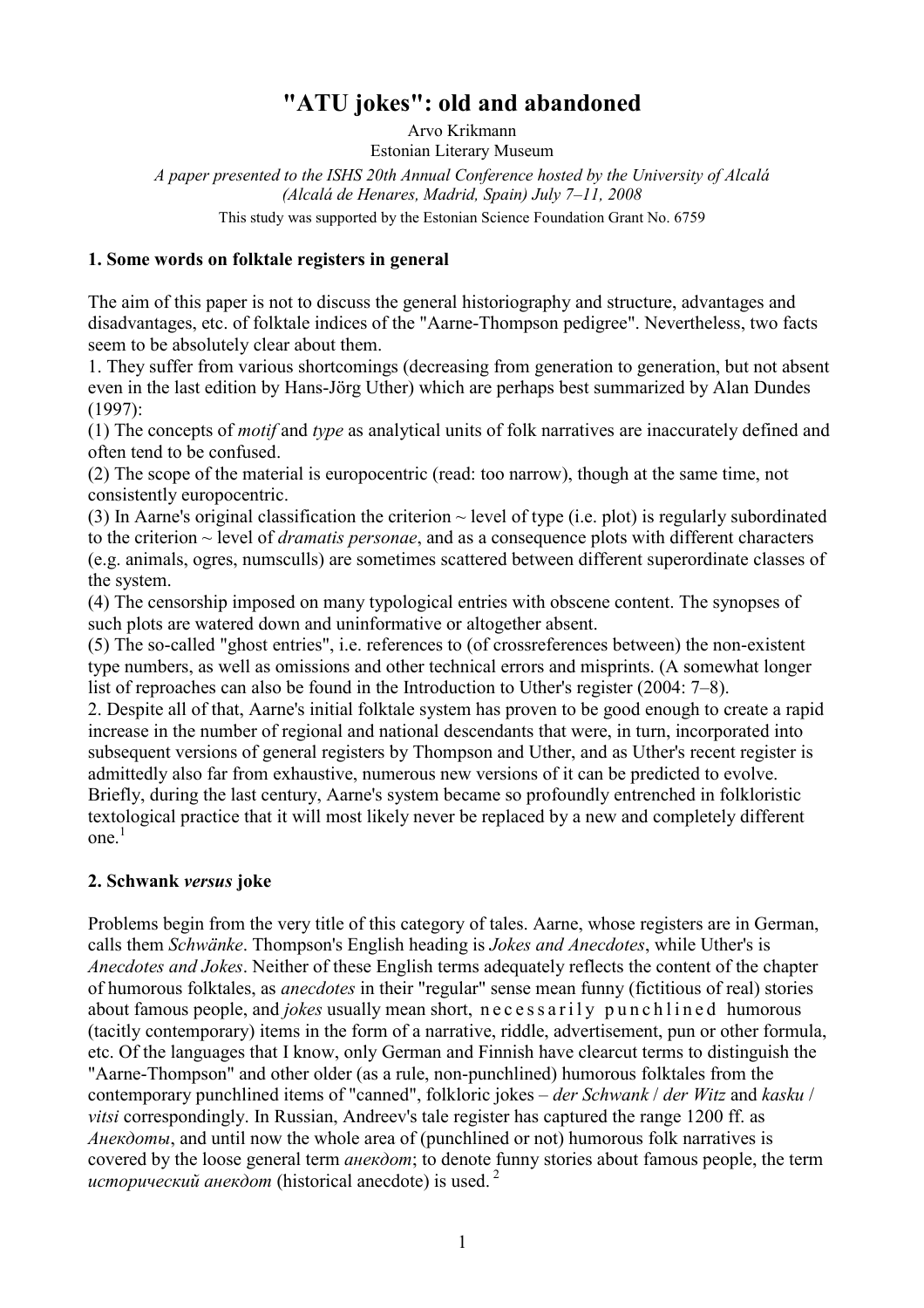# "ATU jokes": old and abandoned

Arvo Krikmann Estonian Literary Museum A paper presented to the ISHS 20th Annual Conference hosted by the University of Alcalá (Alcalá de Henares, Madrid, Spain) July 7–11, 2008 This study was supported by the Estonian Science Foundation Grant No. 6759

### 1. Some words on folktale registers in general

The aim of this paper is not to discuss the general historiography and structure, advantages and disadvantages, etc. of folktale indices of the "Aarne-Thompson pedigree". Nevertheless, two facts seem to be absolutely clear about them.

1. They suffer from various shortcomings (decreasing from generation to generation, but not absent even in the last edition by Hans-Jörg Uther) which are perhaps best summarized by Alan Dundes (1997):

(1) The concepts of motif and type as analytical units of folk narratives are inaccurately defined and often tend to be confused.

(2) The scope of the material is europocentric (read: too narrow), though at the same time, not consistently europocentric.

(3) In Aarne's original classification the criterion  $\sim$  level of type (i.e. plot) is regularly subordinated to the criterion  $\sim$  level of *dramatis personae*, and as a consequence plots with different characters (e.g. animals, ogres, numsculls) are sometimes scattered between different superordinate classes of the system.

(4) The censorship imposed on many typological entries with obscene content. The synopses of such plots are watered down and uninformative or altogether absent.

(5) The so-called "ghost entries", i.e. references to (of crossreferences between) the non-existent type numbers, as well as omissions and other technical errors and misprints. (A somewhat longer list of reproaches can also be found in the Introduction to Uther's register (2004: 7–8).

2. Despite all of that, Aarne's initial folktale system has proven to be good enough to create a rapid increase in the number of regional and national descendants that were, in turn, incorporated into subsequent versions of general registers by Thompson and Uther, and as Uther's recent register is admittedly also far from exhaustive, numerous new versions of it can be predicted to evolve. Briefly, during the last century, Aarne's system became so profoundly entrenched in folkloristic textological practice that it will most likely never be replaced by a new and completely different one $<sup>1</sup>$ </sup>

#### 2. Schwank versus joke

Problems begin from the very title of this category of tales. Aarne, whose registers are in German, calls them Schwänke. Thompson's English heading is Jokes and Anecdotes, while Uther's is Anecdotes and Jokes. Neither of these English terms adequately reflects the content of the chapter of humorous folktales, as anecdotes in their "regular" sense mean funny (fictitious of real) stories about famous people, and *jokes* usually mean short, necessarily punchlined humorous (tacitly contemporary) items in the form of a narrative, riddle, advertisement, pun or other formula, etc. Of the languages that I know, only German and Finnish have clearcut terms to distinguish the "Aarne-Thompson" and other older (as a rule, non-punchlined) humorous folktales from the contemporary punchlined items of "canned", folkloric jokes – der Schwank / der Witz and kasku / vitsi correspondingly. In Russian, Andreev's tale register has captured the range 1200 ff. as  $A \mu e \kappa \partial \phi$  and until now the whole area of (punchlined or not) humorous folk narratives is covered by the loose general term *анекдот*; to denote funny stories about famous people, the term исторический анекдот (historical anecdote) is used.<sup>2</sup>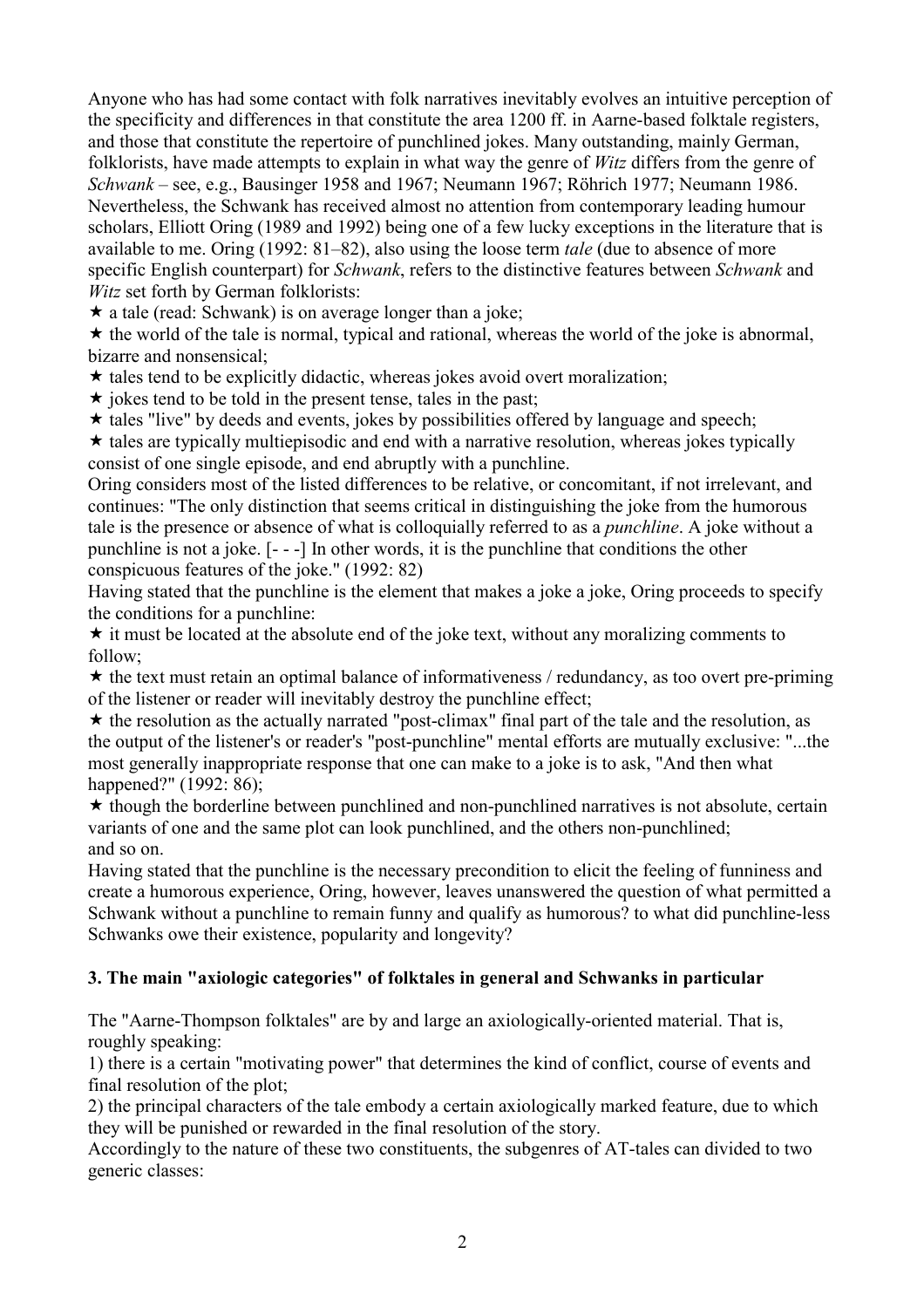Anyone who has had some contact with folk narratives inevitably evolves an intuitive perception of the specificity and differences in that constitute the area 1200 ff. in Aarne-based folktale registers, and those that constitute the repertoire of punchlined jokes. Many outstanding, mainly German, folklorists, have made attempts to explain in what way the genre of Witz differs from the genre of Schwank – see, e.g., Bausinger 1958 and 1967; Neumann 1967; Röhrich 1977; Neumann 1986. Nevertheless, the Schwank has received almost no attention from contemporary leading humour scholars, Elliott Oring (1989 and 1992) being one of a few lucky exceptions in the literature that is available to me. Oring (1992: 81–82), also using the loose term tale (due to absence of more specific English counterpart) for *Schwank*, refers to the distinctive features between *Schwank* and Witz set forth by German folklorists:

 $\star$  a tale (read: Schwank) is on average longer than a joke;

 $\star$  the world of the tale is normal, typical and rational, whereas the world of the joke is abnormal, bizarre and nonsensical;

 $\star$  tales tend to be explicitly didactic, whereas jokes avoid overt moralization;

 $\star$  jokes tend to be told in the present tense, tales in the past;

 $\star$  tales "live" by deeds and events, jokes by possibilities offered by language and speech;

 $\star$  tales are typically multiepisodic and end with a narrative resolution, whereas jokes typically consist of one single episode, and end abruptly with a punchline.

Oring considers most of the listed differences to be relative, or concomitant, if not irrelevant, and continues: "The only distinction that seems critical in distinguishing the joke from the humorous tale is the presence or absence of what is colloquially referred to as a punchline. A joke without a punchline is not a joke. [- - -] In other words, it is the punchline that conditions the other conspicuous features of the joke." (1992: 82)

Having stated that the punchline is the element that makes a joke a joke, Oring proceeds to specify the conditions for a punchline:

 $\star$  it must be located at the absolute end of the joke text, without any moralizing comments to follow;

 $\star$  the text must retain an optimal balance of informativeness / redundancy, as too overt pre-priming of the listener or reader will inevitably destroy the punchline effect;

 $\star$  the resolution as the actually narrated "post-climax" final part of the tale and the resolution, as the output of the listener's or reader's "post-punchline" mental efforts are mutually exclusive: "...the most generally inappropriate response that one can make to a joke is to ask, "And then what happened?" (1992: 86);

 $\star$  though the borderline between punchlined and non-punchlined narratives is not absolute, certain variants of one and the same plot can look punchlined, and the others non-punchlined; and so on.

Having stated that the punchline is the necessary precondition to elicit the feeling of funniness and create a humorous experience, Oring, however, leaves unanswered the question of what permitted a Schwank without a punchline to remain funny and qualify as humorous? to what did punchline-less Schwanks owe their existence, popularity and longevity?

## 3. The main "axiologic categories" of folktales in general and Schwanks in particular

The "Aarne-Thompson folktales" are by and large an axiologically-oriented material. That is, roughly speaking:

1) there is a certain "motivating power" that determines the kind of conflict, course of events and final resolution of the plot;

2) the principal characters of the tale embody a certain axiologically marked feature, due to which they will be punished or rewarded in the final resolution of the story.

Accordingly to the nature of these two constituents, the subgenres of AT-tales can divided to two generic classes: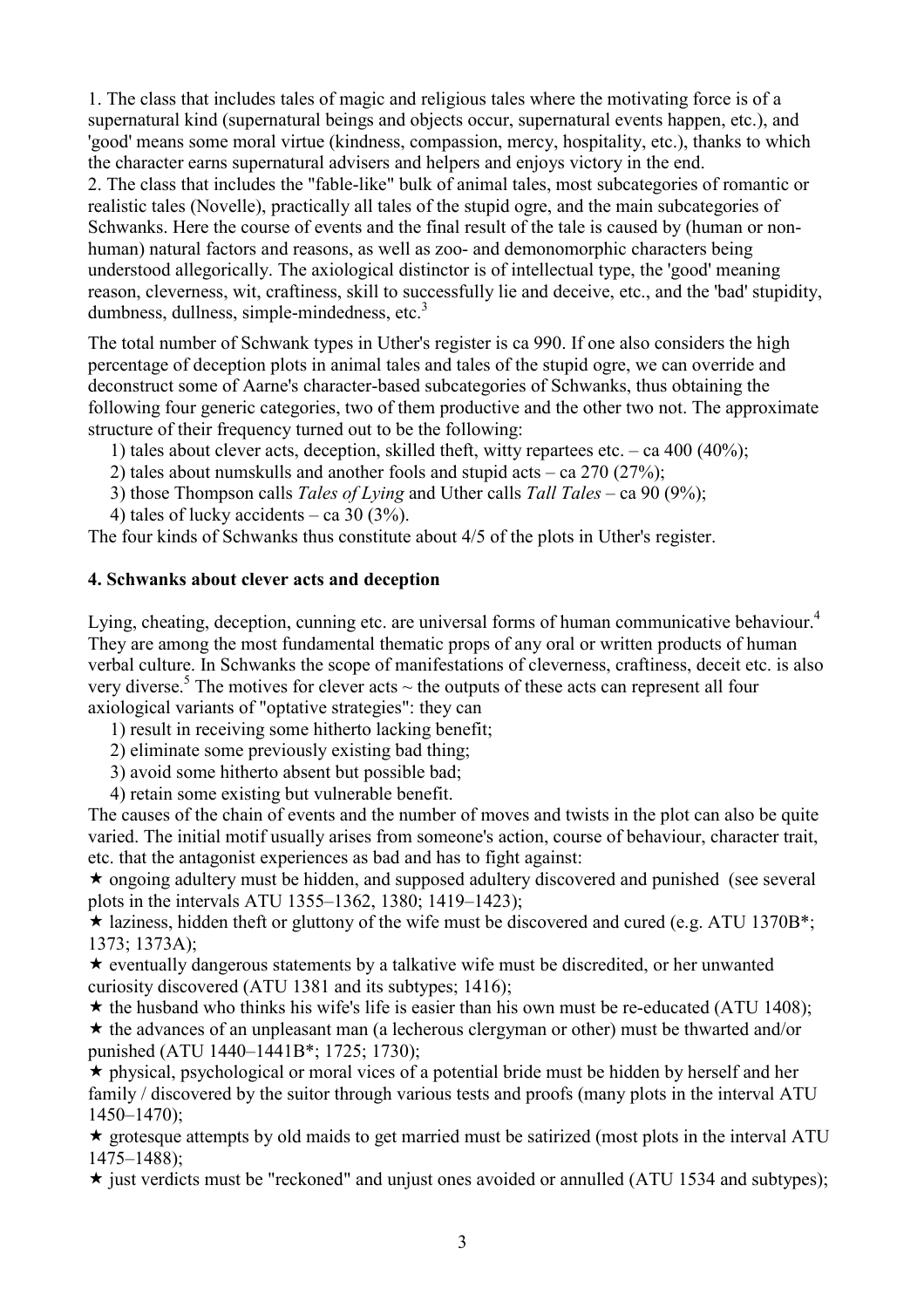1. The class that includes tales of magic and religious tales where the motivating force is of a supernatural kind (supernatural beings and objects occur, supernatural events happen, etc.), and 'good' means some moral virtue (kindness, compassion, mercy, hospitality, etc.), thanks to which the character earns supernatural advisers and helpers and enjoys victory in the end. 2. The class that includes the "fable-like" bulk of animal tales, most subcategories of romantic or realistic tales (Novelle), practically all tales of the stupid ogre, and the main subcategories of Schwanks. Here the course of events and the final result of the tale is caused by (human or nonhuman) natural factors and reasons, as well as zoo- and demonomorphic characters being understood allegorically. The axiological distinctor is of intellectual type, the 'good' meaning reason, cleverness, wit, craftiness, skill to successfully lie and deceive, etc., and the 'bad' stupidity, dumbness, dullness, simple-mindedness, etc.<sup>3</sup>

The total number of Schwank types in Uther's register is ca 990. If one also considers the high percentage of deception plots in animal tales and tales of the stupid ogre, we can override and deconstruct some of Aarne's character-based subcategories of Schwanks, thus obtaining the following four generic categories, two of them productive and the other two not. The approximate structure of their frequency turned out to be the following:

- 1) tales about clever acts, deception, skilled theft, witty repartees etc. ca 400 (40%);
- 2) tales about numskulls and another fools and stupid acts ca 270 (27%);
- 3) those Thompson calls *Tales of Lying* and Uther calls *Tall Tales ca* 90 (9%);
- 4) tales of lucky accidents ca 30  $(3\%)$ .

The four kinds of Schwanks thus constitute about 4/5 of the plots in Uther's register.

## 4. Schwanks about clever acts and deception

Lying, cheating, deception, cunning etc. are universal forms of human communicative behaviour.<sup>4</sup> They are among the most fundamental thematic props of any oral or written products of human verbal culture. In Schwanks the scope of manifestations of cleverness, craftiness, deceit etc. is also very diverse.<sup>5</sup> The motives for clever acts  $\sim$  the outputs of these acts can represent all four axiological variants of "optative strategies": they can

1) result in receiving some hitherto lacking benefit;

2) eliminate some previously existing bad thing;

3) avoid some hitherto absent but possible bad;

4) retain some existing but vulnerable benefit.

The causes of the chain of events and the number of moves and twists in the plot can also be quite varied. The initial motif usually arises from someone's action, course of behaviour, character trait, etc. that the antagonist experiences as bad and has to fight against:

 $\star$  ongoing adultery must be hidden, and supposed adultery discovered and punished (see several plots in the intervals ATU 1355–1362, 1380; 1419–1423);

 $\star$  laziness, hidden theft or gluttony of the wife must be discovered and cured (e.g. ATU 1370B<sup>\*</sup>; 1373; 1373A);

 $\star$  eventually dangerous statements by a talkative wife must be discredited, or her unwanted curiosity discovered (ATU 1381 and its subtypes; 1416);

 $\star$  the husband who thinks his wife's life is easier than his own must be re-educated (ATU 1408);

 $\star$  the advances of an unpleasant man (a lecherous clergyman or other) must be thwarted and/or punished (ATU 1440–1441B\*; 1725; 1730);

 $\star$  physical, psychological or moral vices of a potential bride must be hidden by herself and her family / discovered by the suitor through various tests and proofs (many plots in the interval ATU) 1450–1470);

 $\star$  grotesque attempts by old maids to get married must be satirized (most plots in the interval ATU) 1475–1488);

 $\star$  just verdicts must be "reckoned" and unjust ones avoided or annulled (ATU 1534 and subtypes);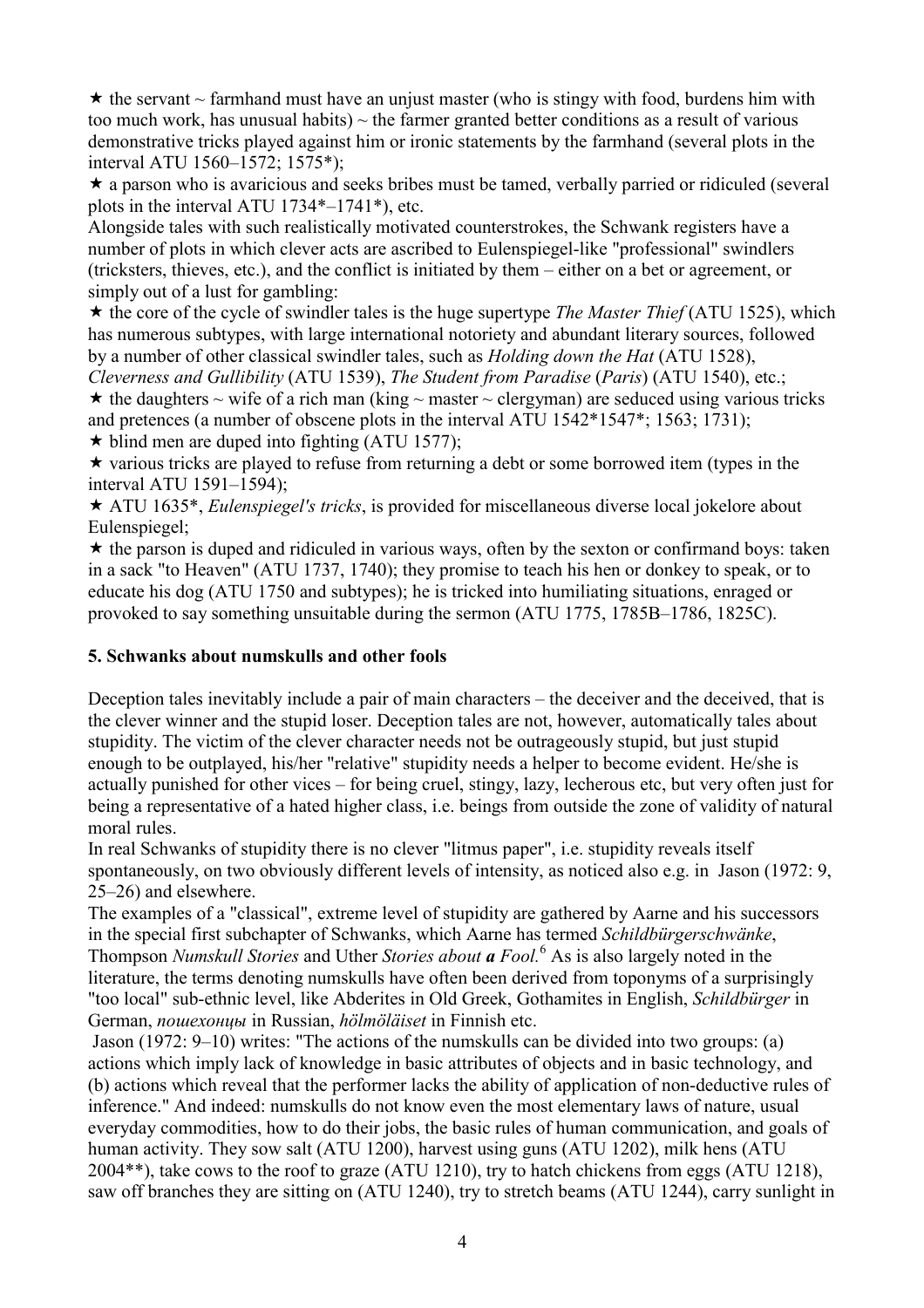$\star$  the servant  $\sim$  farmhand must have an unjust master (who is stingy with food, burdens him with too much work, has unusual habits)  $\sim$  the farmer granted better conditions as a result of various demonstrative tricks played against him or ironic statements by the farmhand (several plots in the interval ATU 1560–1572; 1575\*);

 $\star$  a parson who is avaricious and seeks bribes must be tamed, verbally parried or ridiculed (several plots in the interval ATU 1734\*–1741\*), etc.

Alongside tales with such realistically motivated counterstrokes, the Schwank registers have a number of plots in which clever acts are ascribed to Eulenspiegel-like "professional" swindlers (tricksters, thieves, etc.), and the conflict is initiated by them – either on a bet or agreement, or simply out of a lust for gambling:

 $\star$  the core of the cycle of swindler tales is the huge supertype *The Master Thief* (ATU 1525), which has numerous subtypes, with large international notoriety and abundant literary sources, followed by a number of other classical swindler tales, such as Holding down the Hat (ATU 1528),

Cleverness and Gullibility (ATU 1539), The Student from Paradise (Paris) (ATU 1540), etc.;  $\star$  the daughters  $\sim$  wife of a rich man (king  $\sim$  master  $\sim$  clergyman) are seduced using various tricks and pretences (a number of obscene plots in the interval ATU 1542\*1547\*; 1563; 1731);  $\star$  blind men are duped into fighting (ATU 1577);

 $\star$  various tricks are played to refuse from returning a debt or some borrowed item (types in the interval ATU 1591–1594);

 $\star$  ATU 1635<sup>\*</sup>, *Eulenspiegel's tricks*, is provided for miscellaneous diverse local jokelore about Eulenspiegel;

 $\star$  the parson is duped and ridiculed in various ways, often by the sexton or confirmand boys: taken in a sack "to Heaven" (ATU 1737, 1740); they promise to teach his hen or donkey to speak, or to educate his dog (ATU 1750 and subtypes); he is tricked into humiliating situations, enraged or provoked to say something unsuitable during the sermon (ATU 1775, 1785B–1786, 1825C).

#### 5. Schwanks about numskulls and other fools

Deception tales inevitably include a pair of main characters – the deceiver and the deceived, that is the clever winner and the stupid loser. Deception tales are not, however, automatically tales about stupidity. The victim of the clever character needs not be outrageously stupid, but just stupid enough to be outplayed, his/her "relative" stupidity needs a helper to become evident. He/she is actually punished for other vices – for being cruel, stingy, lazy, lecherous etc, but very often just for being a representative of a hated higher class, i.e. beings from outside the zone of validity of natural moral rules.

In real Schwanks of stupidity there is no clever "litmus paper", i.e. stupidity reveals itself spontaneously, on two obviously different levels of intensity, as noticed also e.g. in Jason (1972: 9, 25–26) and elsewhere.

The examples of a "classical", extreme level of stupidity are gathered by Aarne and his successors in the special first subchapter of Schwanks, which Aarne has termed Schildbürgerschwänke, Thompson Numskull Stories and Uther Stories about a Fool.<sup>6</sup> As is also largely noted in the literature, the terms denoting numskulls have often been derived from toponyms of a surprisingly "too local" sub-ethnic level, like Abderites in Old Greek, Gothamites in English, Schildbürger in German, пошехонцы in Russian, hölmöläiset in Finnish etc.

 Jason (1972: 9–10) writes: "The actions of the numskulls can be divided into two groups: (a) actions which imply lack of knowledge in basic attributes of objects and in basic technology, and (b) actions which reveal that the performer lacks the ability of application of non-deductive rules of inference." And indeed: numskulls do not know even the most elementary laws of nature, usual everyday commodities, how to do their jobs, the basic rules of human communication, and goals of human activity. They sow salt (ATU 1200), harvest using guns (ATU 1202), milk hens (ATU 2004\*\*), take cows to the roof to graze (ATU 1210), try to hatch chickens from eggs (ATU 1218), saw off branches they are sitting on (ATU 1240), try to stretch beams (ATU 1244), carry sunlight in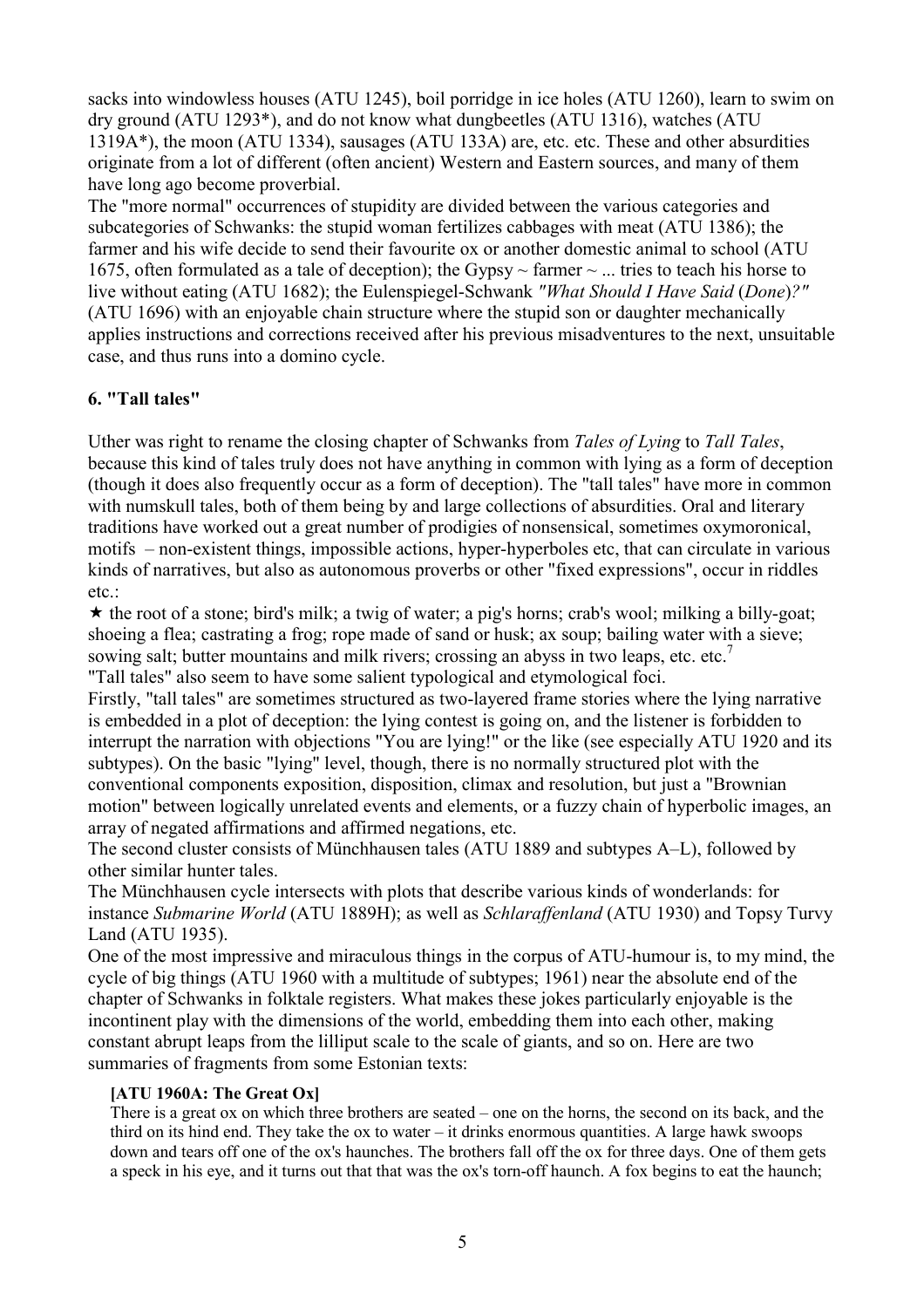sacks into windowless houses (ATU 1245), boil porridge in ice holes (ATU 1260), learn to swim on dry ground (ATU 1293\*), and do not know what dungbeetles (ATU 1316), watches (ATU 1319A\*), the moon (ATU 1334), sausages (ATU 133A) are, etc. etc. These and other absurdities originate from a lot of different (often ancient) Western and Eastern sources, and many of them have long ago become proverbial.

The "more normal" occurrences of stupidity are divided between the various categories and subcategories of Schwanks: the stupid woman fertilizes cabbages with meat (ATU 1386); the farmer and his wife decide to send their favourite ox or another domestic animal to school (ATU 1675, often formulated as a tale of deception); the Gypsy  $\sim$  farmer  $\sim$  ... tries to teach his horse to live without eating (ATU 1682); the Eulenspiegel-Schwank "What Should I Have Said (Done)?" (ATU 1696) with an enjoyable chain structure where the stupid son or daughter mechanically applies instructions and corrections received after his previous misadventures to the next, unsuitable case, and thus runs into a domino cycle.

## 6. "Tall tales"

Uther was right to rename the closing chapter of Schwanks from Tales of Lying to Tall Tales, because this kind of tales truly does not have anything in common with lying as a form of deception (though it does also frequently occur as a form of deception). The "tall tales" have more in common with numskull tales, both of them being by and large collections of absurdities. Oral and literary traditions have worked out a great number of prodigies of nonsensical, sometimes oxymoronical, motifs – non-existent things, impossible actions, hyper-hyperboles etc, that can circulate in various kinds of narratives, but also as autonomous proverbs or other "fixed expressions", occur in riddles etc.

 $\star$  the root of a stone; bird's milk; a twig of water; a pig's horns; crab's wool; milking a billy-goat; shoeing a flea; castrating a frog; rope made of sand or husk; ax soup; bailing water with a sieve; sowing salt; butter mountains and milk rivers; crossing an abyss in two leaps, etc. etc.<sup>7</sup> "Tall tales" also seem to have some salient typological and etymological foci.

Firstly, "tall tales" are sometimes structured as two-layered frame stories where the lying narrative is embedded in a plot of deception: the lying contest is going on, and the listener is forbidden to interrupt the narration with objections "You are lying!" or the like (see especially ATU 1920 and its subtypes). On the basic "lying" level, though, there is no normally structured plot with the conventional components exposition, disposition, climax and resolution, but just a "Brownian motion" between logically unrelated events and elements, or a fuzzy chain of hyperbolic images, an array of negated affirmations and affirmed negations, etc.

The second cluster consists of Münchhausen tales (ATU 1889 and subtypes A–L), followed by other similar hunter tales.

The Münchhausen cycle intersects with plots that describe various kinds of wonderlands: for instance Submarine World (ATU 1889H); as well as Schlaraffenland (ATU 1930) and Topsy Turvy Land (ATU 1935).

One of the most impressive and miraculous things in the corpus of ATU-humour is, to my mind, the cycle of big things (ATU 1960 with a multitude of subtypes; 1961) near the absolute end of the chapter of Schwanks in folktale registers. What makes these jokes particularly enjoyable is the incontinent play with the dimensions of the world, embedding them into each other, making constant abrupt leaps from the lilliput scale to the scale of giants, and so on. Here are two summaries of fragments from some Estonian texts:

#### [ATU 1960A: The Great Ox]

There is a great ox on which three brothers are seated – one on the horns, the second on its back, and the third on its hind end. They take the ox to water – it drinks enormous quantities. A large hawk swoops down and tears off one of the ox's haunches. The brothers fall off the ox for three days. One of them gets a speck in his eye, and it turns out that that was the ox's torn-off haunch. A fox begins to eat the haunch;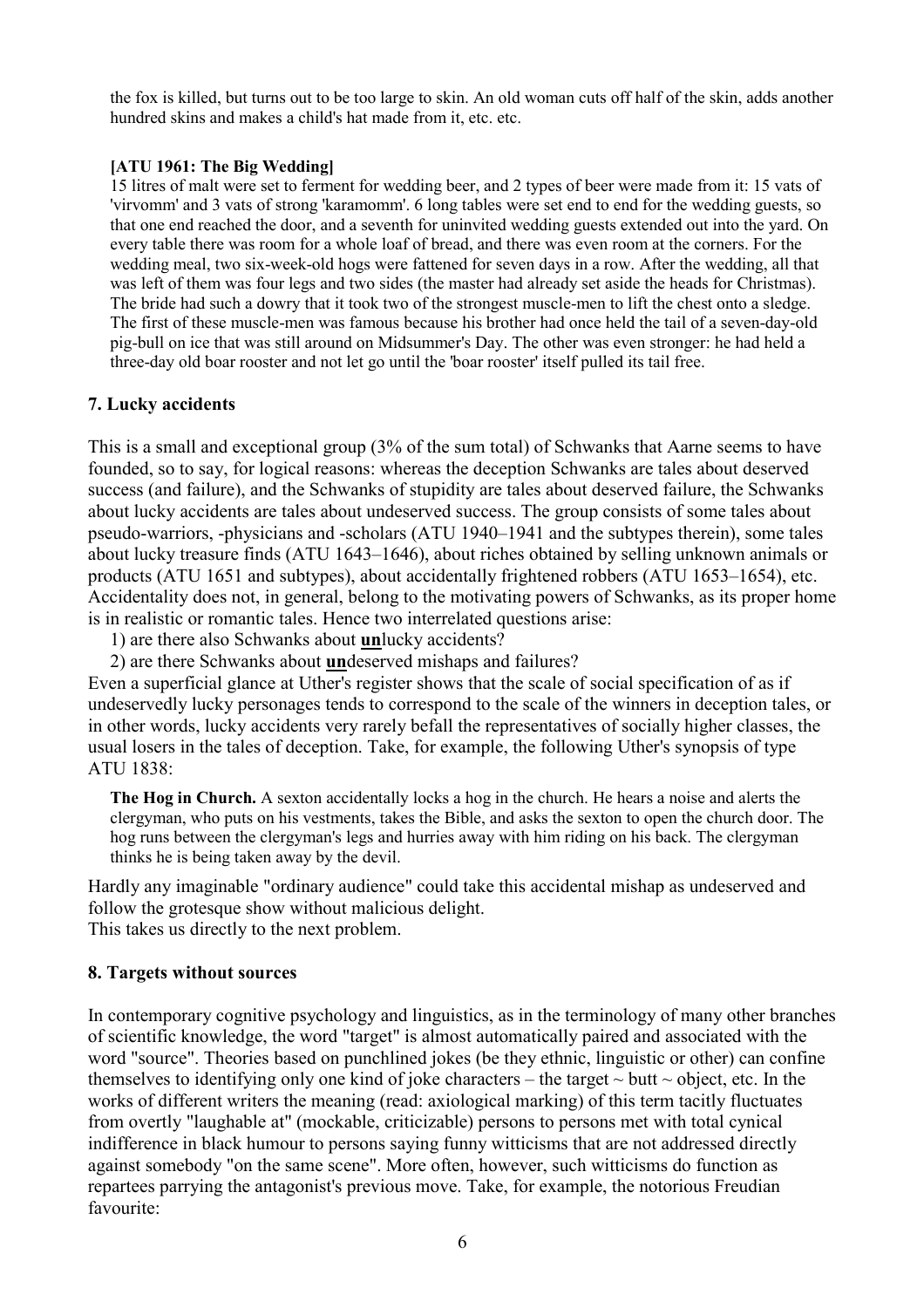the fox is killed, but turns out to be too large to skin. An old woman cuts off half of the skin, adds another hundred skins and makes a child's hat made from it, etc. etc.

#### [ATU 1961: The Big Wedding]

15 litres of malt were set to ferment for wedding beer, and 2 types of beer were made from it: 15 vats of 'virvomm' and 3 vats of strong 'karamomm'. 6 long tables were set end to end for the wedding guests, so that one end reached the door, and a seventh for uninvited wedding guests extended out into the yard. On every table there was room for a whole loaf of bread, and there was even room at the corners. For the wedding meal, two six-week-old hogs were fattened for seven days in a row. After the wedding, all that was left of them was four legs and two sides (the master had already set aside the heads for Christmas). The bride had such a dowry that it took two of the strongest muscle-men to lift the chest onto a sledge. The first of these muscle-men was famous because his brother had once held the tail of a seven-day-old pig-bull on ice that was still around on Midsummer's Day. The other was even stronger: he had held a three-day old boar rooster and not let go until the 'boar rooster' itself pulled its tail free.

#### 7. Lucky accidents

This is a small and exceptional group (3% of the sum total) of Schwanks that Aarne seems to have founded, so to say, for logical reasons: whereas the deception Schwanks are tales about deserved success (and failure), and the Schwanks of stupidity are tales about deserved failure, the Schwanks about lucky accidents are tales about undeserved success. The group consists of some tales about pseudo-warriors, -physicians and -scholars (ATU 1940–1941 and the subtypes therein), some tales about lucky treasure finds (ATU 1643–1646), about riches obtained by selling unknown animals or products (ATU 1651 and subtypes), about accidentally frightened robbers (ATU 1653–1654), etc. Accidentality does not, in general, belong to the motivating powers of Schwanks, as its proper home is in realistic or romantic tales. Hence two interrelated questions arise:

1) are there also Schwanks about unlucky accidents?

2) are there Schwanks about undeserved mishaps and failures?

Even a superficial glance at Uther's register shows that the scale of social specification of as if undeservedly lucky personages tends to correspond to the scale of the winners in deception tales, or in other words, lucky accidents very rarely befall the representatives of socially higher classes, the usual losers in the tales of deception. Take, for example, the following Uther's synopsis of type ATU 1838:

The Hog in Church. A sexton accidentally locks a hog in the church. He hears a noise and alerts the clergyman, who puts on his vestments, takes the Bible, and asks the sexton to open the church door. The hog runs between the clergyman's legs and hurries away with him riding on his back. The clergyman thinks he is being taken away by the devil.

Hardly any imaginable "ordinary audience" could take this accidental mishap as undeserved and follow the grotesque show without malicious delight. This takes us directly to the next problem.

#### 8. Targets without sources

In contemporary cognitive psychology and linguistics, as in the terminology of many other branches of scientific knowledge, the word "target" is almost automatically paired and associated with the word "source". Theories based on punchlined jokes (be they ethnic, linguistic or other) can confine themselves to identifying only one kind of joke characters – the target  $\sim$  butt  $\sim$  object, etc. In the works of different writers the meaning (read: axiological marking) of this term tacitly fluctuates from overtly "laughable at" (mockable, criticizable) persons to persons met with total cynical indifference in black humour to persons saying funny witticisms that are not addressed directly against somebody "on the same scene". More often, however, such witticisms do function as repartees parrying the antagonist's previous move. Take, for example, the notorious Freudian favourite: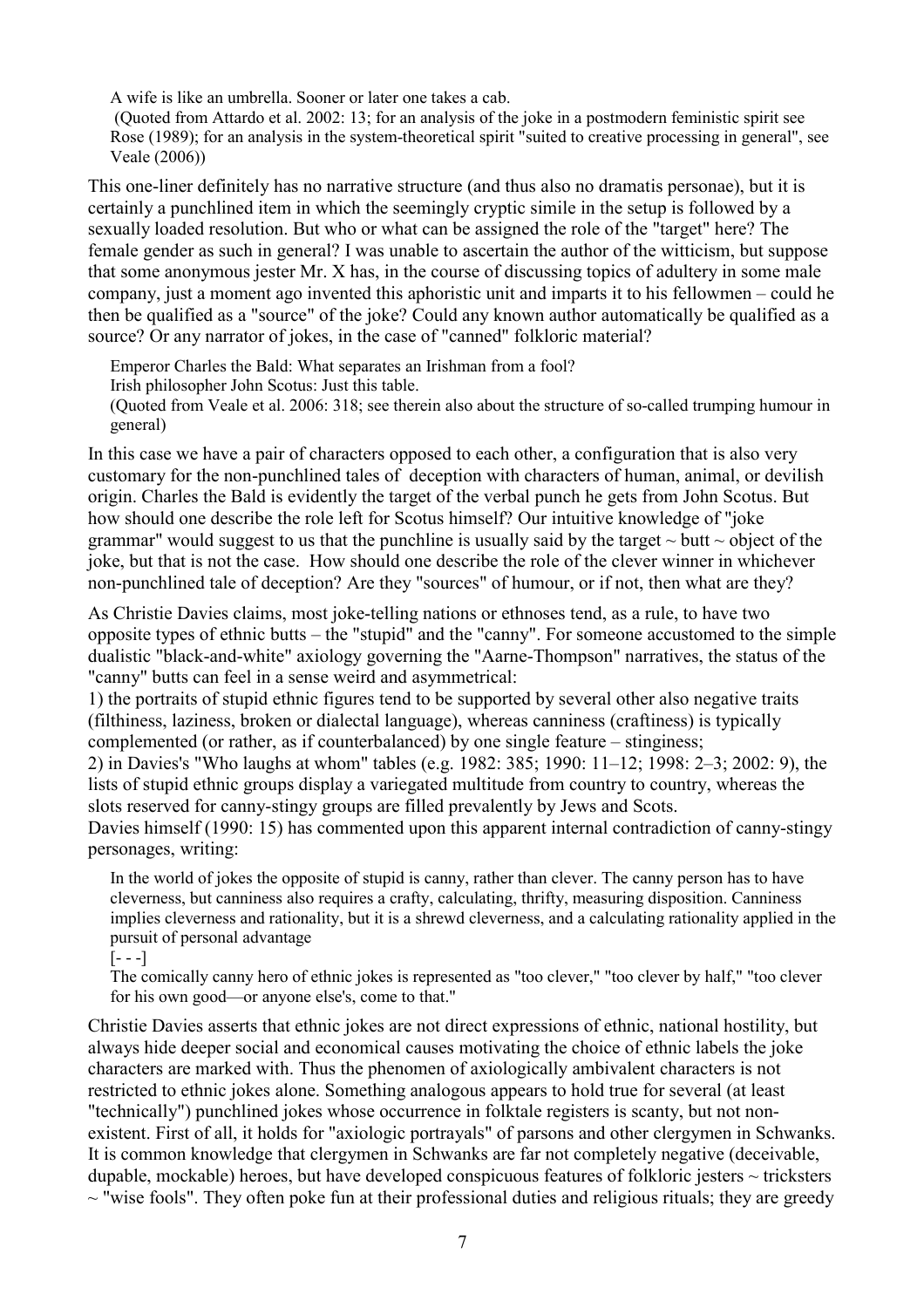A wife is like an umbrella. Sooner or later one takes a cab.

 (Quoted from Attardo et al. 2002: 13; for an analysis of the joke in a postmodern feministic spirit see Rose (1989); for an analysis in the system-theoretical spirit "suited to creative processing in general", see Veale (2006))

This one-liner definitely has no narrative structure (and thus also no dramatis personae), but it is certainly a punchlined item in which the seemingly cryptic simile in the setup is followed by a sexually loaded resolution. But who or what can be assigned the role of the "target" here? The female gender as such in general? I was unable to ascertain the author of the witticism, but suppose that some anonymous jester Mr. X has, in the course of discussing topics of adultery in some male company, just a moment ago invented this aphoristic unit and imparts it to his fellowmen – could he then be qualified as a "source" of the joke? Could any known author automatically be qualified as a source? Or any narrator of jokes, in the case of "canned" folkloric material?

Emperor Charles the Bald: What separates an Irishman from a fool?

Irish philosopher John Scotus: Just this table.

(Quoted from Veale et al. 2006: 318; see therein also about the structure of so-called trumping humour in general)

In this case we have a pair of characters opposed to each other, a configuration that is also very customary for the non-punchlined tales of deception with characters of human, animal, or devilish origin. Charles the Bald is evidently the target of the verbal punch he gets from John Scotus. But how should one describe the role left for Scotus himself? Our intuitive knowledge of "joke grammar" would suggest to us that the punchline is usually said by the target  $\sim$  butt  $\sim$  object of the joke, but that is not the case. How should one describe the role of the clever winner in whichever non-punchlined tale of deception? Are they "sources" of humour, or if not, then what are they?

As Christie Davies claims, most joke-telling nations or ethnoses tend, as a rule, to have two opposite types of ethnic butts – the "stupid" and the "canny". For someone accustomed to the simple dualistic "black-and-white" axiology governing the "Aarne-Thompson" narratives, the status of the "canny" butts can feel in a sense weird and asymmetrical:

1) the portraits of stupid ethnic figures tend to be supported by several other also negative traits (filthiness, laziness, broken or dialectal language), whereas canniness (craftiness) is typically complemented (or rather, as if counterbalanced) by one single feature – stinginess;

2) in Davies's "Who laughs at whom" tables (e.g. 1982: 385; 1990: 11–12; 1998: 2–3; 2002: 9), the lists of stupid ethnic groups display a variegated multitude from country to country, whereas the slots reserved for canny-stingy groups are filled prevalently by Jews and Scots.

Davies himself (1990: 15) has commented upon this apparent internal contradiction of canny-stingy personages, writing:

In the world of jokes the opposite of stupid is canny, rather than clever. The canny person has to have cleverness, but canniness also requires a crafty, calculating, thrifty, measuring disposition. Canniness implies cleverness and rationality, but it is a shrewd cleverness, and a calculating rationality applied in the pursuit of personal advantage

 $[- - -]$ 

The comically canny hero of ethnic jokes is represented as "too clever," "too clever by half," "too clever for his own good—or anyone else's, come to that."

Christie Davies asserts that ethnic jokes are not direct expressions of ethnic, national hostility, but always hide deeper social and economical causes motivating the choice of ethnic labels the joke characters are marked with. Thus the phenomen of axiologically ambivalent characters is not restricted to ethnic jokes alone. Something analogous appears to hold true for several (at least "technically") punchlined jokes whose occurrence in folktale registers is scanty, but not nonexistent. First of all, it holds for "axiologic portrayals" of parsons and other clergymen in Schwanks. It is common knowledge that clergymen in Schwanks are far not completely negative (deceivable, dupable, mockable) heroes, but have developed conspicuous features of folkloric jesters  $\sim$  tricksters  $\sim$  "wise fools". They often poke fun at their professional duties and religious rituals; they are greedy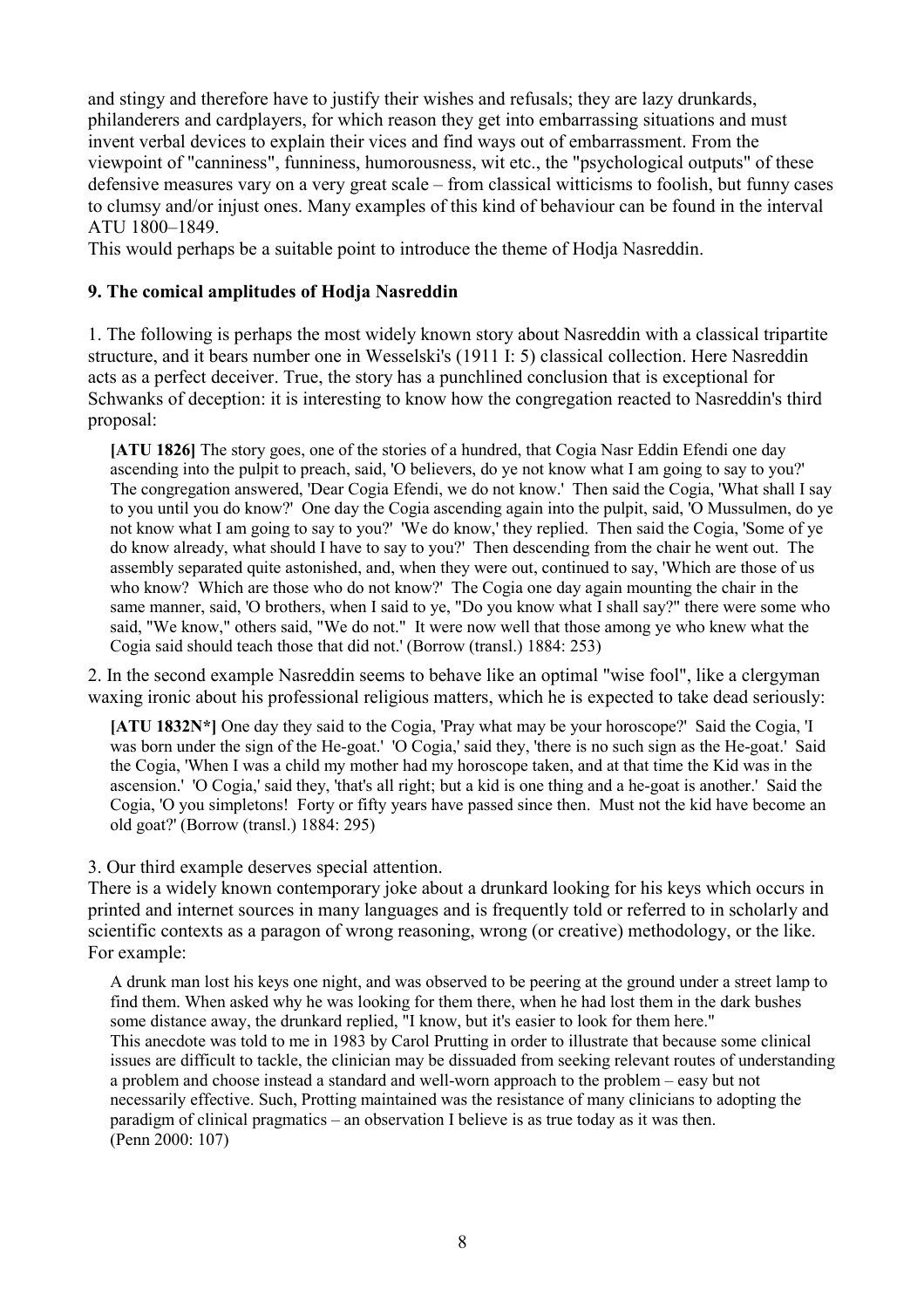and stingy and therefore have to justify their wishes and refusals; they are lazy drunkards, philanderers and cardplayers, for which reason they get into embarrassing situations and must invent verbal devices to explain their vices and find ways out of embarrassment. From the viewpoint of "canniness", funniness, humorousness, wit etc., the "psychological outputs" of these defensive measures vary on a very great scale – from classical witticisms to foolish, but funny cases to clumsy and/or injust ones. Many examples of this kind of behaviour can be found in the interval ATU 1800–1849.

This would perhaps be a suitable point to introduce the theme of Hodja Nasreddin.

#### 9. The comical amplitudes of Hodja Nasreddin

1. The following is perhaps the most widely known story about Nasreddin with a classical tripartite structure, and it bears number one in Wesselski's (1911 I: 5) classical collection. Here Nasreddin acts as a perfect deceiver. True, the story has a punchlined conclusion that is exceptional for Schwanks of deception: it is interesting to know how the congregation reacted to Nasreddin's third proposal:

[ATU 1826] The story goes, one of the stories of a hundred, that Cogia Nasr Eddin Efendi one day ascending into the pulpit to preach, said, 'O believers, do ye not know what I am going to say to you?' The congregation answered, 'Dear Cogia Efendi, we do not know.' Then said the Cogia, 'What shall I say to you until you do know?' One day the Cogia ascending again into the pulpit, said, 'O Mussulmen, do ye not know what I am going to say to you?' 'We do know,' they replied. Then said the Cogia, 'Some of ye do know already, what should I have to say to you?' Then descending from the chair he went out. The assembly separated quite astonished, and, when they were out, continued to say, 'Which are those of us who know? Which are those who do not know?' The Cogia one day again mounting the chair in the same manner, said, 'O brothers, when I said to ye, "Do you know what I shall say?" there were some who said, "We know," others said, "We do not." It were now well that those among ye who knew what the Cogia said should teach those that did not.' (Borrow (transl.) 1884: 253)

2. In the second example Nasreddin seems to behave like an optimal "wise fool", like a clergyman waxing ironic about his professional religious matters, which he is expected to take dead seriously:

[ATU 1832N\*] One day they said to the Cogia, 'Pray what may be your horoscope?' Said the Cogia, 'I was born under the sign of the He-goat.' 'O Cogia,' said they, 'there is no such sign as the He-goat.' Said the Cogia, 'When I was a child my mother had my horoscope taken, and at that time the Kid was in the ascension.' 'O Cogia,' said they, 'that's all right; but a kid is one thing and a he-goat is another.' Said the Cogia, 'O you simpletons! Forty or fifty years have passed since then. Must not the kid have become an old goat?' (Borrow (transl.) 1884: 295)

#### 3. Our third example deserves special attention.

There is a widely known contemporary joke about a drunkard looking for his keys which occurs in printed and internet sources in many languages and is frequently told or referred to in scholarly and scientific contexts as a paragon of wrong reasoning, wrong (or creative) methodology, or the like. For example:

A drunk man lost his keys one night, and was observed to be peering at the ground under a street lamp to find them. When asked why he was looking for them there, when he had lost them in the dark bushes some distance away, the drunkard replied, "I know, but it's easier to look for them here." This anecdote was told to me in 1983 by Carol Prutting in order to illustrate that because some clinical issues are difficult to tackle, the clinician may be dissuaded from seeking relevant routes of understanding a problem and choose instead a standard and well-worn approach to the problem – easy but not necessarily effective. Such, Protting maintained was the resistance of many clinicians to adopting the paradigm of clinical pragmatics – an observation I believe is as true today as it was then. (Penn 2000: 107)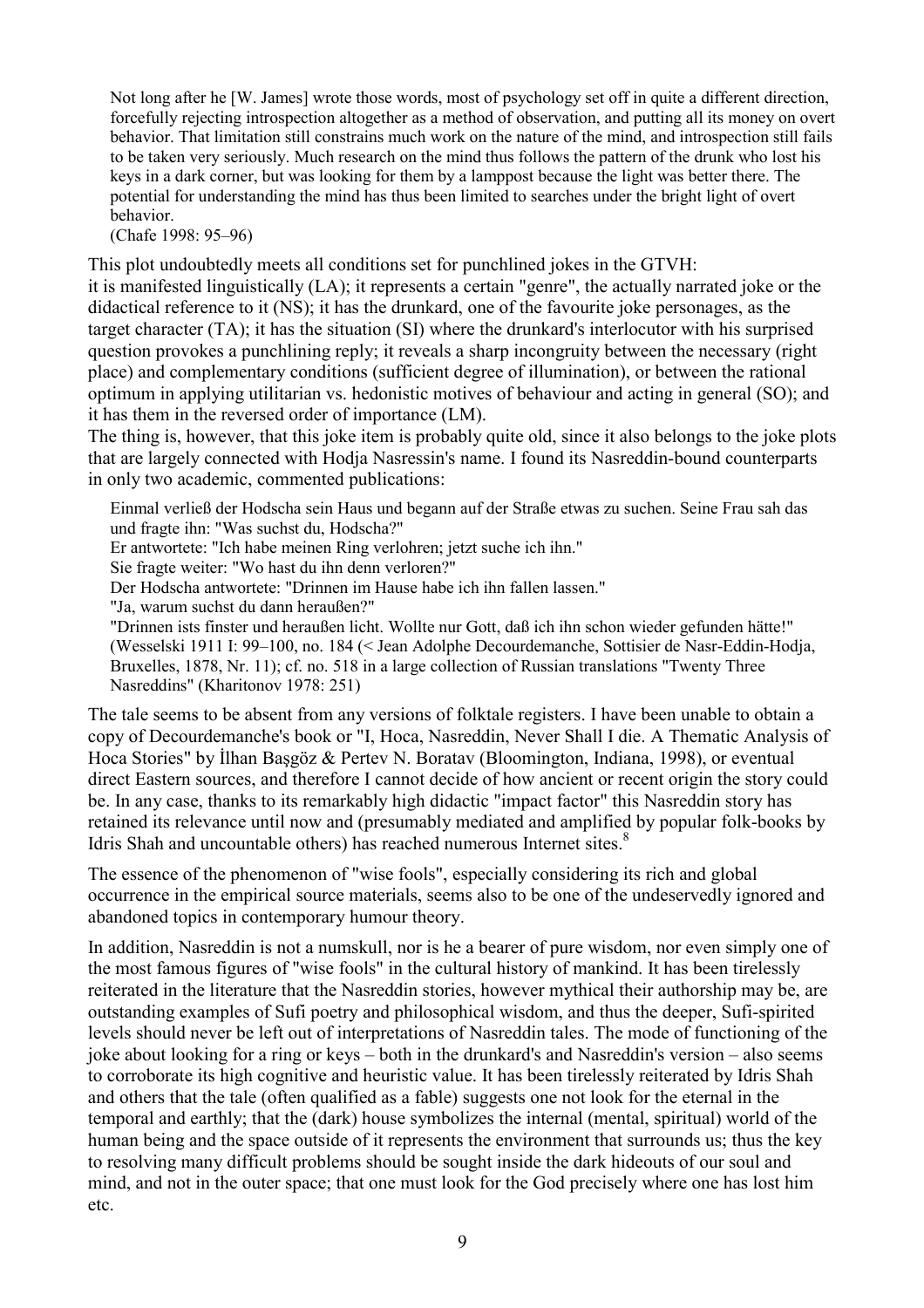Not long after he [W. James] wrote those words, most of psychology set off in quite a different direction, forcefully rejecting introspection altogether as a method of observation, and putting all its money on overt behavior. That limitation still constrains much work on the nature of the mind, and introspection still fails to be taken very seriously. Much research on the mind thus follows the pattern of the drunk who lost his keys in a dark corner, but was looking for them by a lamppost because the light was better there. The potential for understanding the mind has thus been limited to searches under the bright light of overt behavior.

(Chafe 1998: 95–96)

This plot undoubtedly meets all conditions set for punchlined jokes in the GTVH:

it is manifested linguistically (LA); it represents a certain "genre", the actually narrated joke or the didactical reference to it (NS); it has the drunkard, one of the favourite joke personages, as the target character (TA); it has the situation (SI) where the drunkard's interlocutor with his surprised question provokes a punchlining reply; it reveals a sharp incongruity between the necessary (right place) and complementary conditions (sufficient degree of illumination), or between the rational optimum in applying utilitarian vs. hedonistic motives of behaviour and acting in general (SO); and it has them in the reversed order of importance (LM).

The thing is, however, that this joke item is probably quite old, since it also belongs to the joke plots that are largely connected with Hodja Nasressin's name. I found its Nasreddin-bound counterparts in only two academic, commented publications:

Einmal verließ der Hodscha sein Haus und begann auf der Straße etwas zu suchen. Seine Frau sah das und fragte ihn: "Was suchst du, Hodscha?"

Er antwortete: "Ich habe meinen Ring verlohren; jetzt suche ich ihn."

Sie fragte weiter: "Wo hast du ihn denn verloren?"

Der Hodscha antwortete: "Drinnen im Hause habe ich ihn fallen lassen."

"Ja, warum suchst du dann heraußen?"

"Drinnen ists finster und heraußen licht. Wollte nur Gott, daß ich ihn schon wieder gefunden hätte!" (Wesselski 1911 I: 99–100, no. 184 (< Jean Adolphe Decourdemanche, Sottisier de Nasr-Eddin-Hodja, Bruxelles, 1878, Nr. 11); cf. no. 518 in a large collection of Russian translations "Twenty Three Nasreddins" (Kharitonov 1978: 251)

The tale seems to be absent from any versions of folktale registers. I have been unable to obtain a copy of Decourdemanche's book or "I, Hoca, Nasreddin, Never Shall I die. A Thematic Analysis of Hoca Stories" by İlhan Başgöz & Pertev N. Boratav (Bloomington, Indiana, 1998), or eventual direct Eastern sources, and therefore I cannot decide of how ancient or recent origin the story could be. In any case, thanks to its remarkably high didactic "impact factor" this Nasreddin story has retained its relevance until now and (presumably mediated and amplified by popular folk-books by Idris Shah and uncountable others) has reached numerous Internet sites.<sup>8</sup>

The essence of the phenomenon of "wise fools", especially considering its rich and global occurrence in the empirical source materials, seems also to be one of the undeservedly ignored and abandoned topics in contemporary humour theory.

In addition, Nasreddin is not a numskull, nor is he a bearer of pure wisdom, nor even simply one of the most famous figures of "wise fools" in the cultural history of mankind. It has been tirelessly reiterated in the literature that the Nasreddin stories, however mythical their authorship may be, are outstanding examples of Sufi poetry and philosophical wisdom, and thus the deeper, Sufi-spirited levels should never be left out of interpretations of Nasreddin tales. The mode of functioning of the joke about looking for a ring or keys – both in the drunkard's and Nasreddin's version – also seems to corroborate its high cognitive and heuristic value. It has been tirelessly reiterated by Idris Shah and others that the tale (often qualified as a fable) suggests one not look for the eternal in the temporal and earthly; that the (dark) house symbolizes the internal (mental, spiritual) world of the human being and the space outside of it represents the environment that surrounds us; thus the key to resolving many difficult problems should be sought inside the dark hideouts of our soul and mind, and not in the outer space; that one must look for the God precisely where one has lost him etc.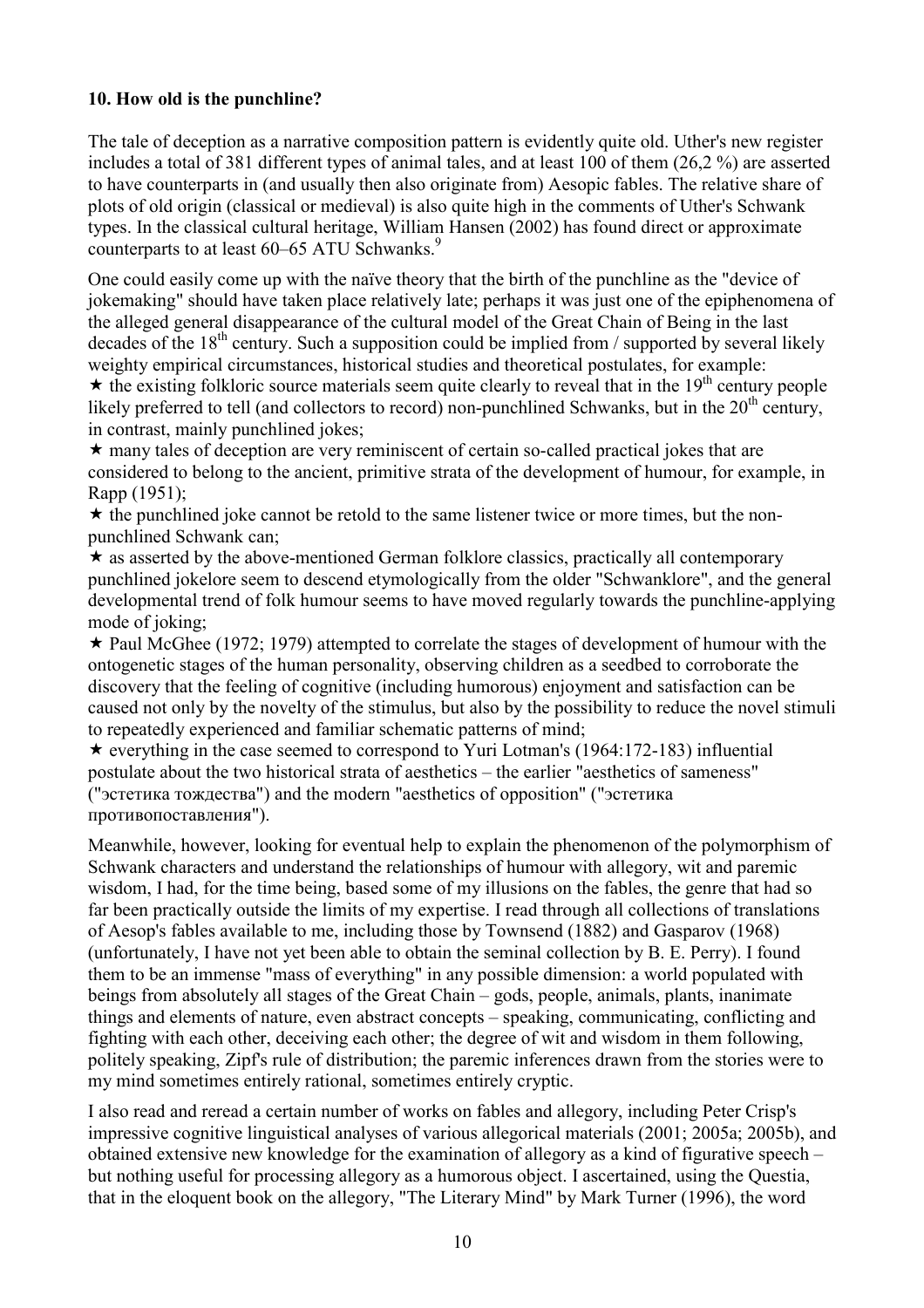## 10. How old is the punchline?

The tale of deception as a narrative composition pattern is evidently quite old. Uther's new register includes a total of 381 different types of animal tales, and at least 100 of them (26,2 %) are asserted to have counterparts in (and usually then also originate from) Aesopic fables. The relative share of plots of old origin (classical or medieval) is also quite high in the comments of Uther's Schwank types. In the classical cultural heritage, William Hansen (2002) has found direct or approximate counterparts to at least 60–65 ATU Schwanks.<sup>9</sup>

One could easily come up with the naïve theory that the birth of the punchline as the "device of jokemaking" should have taken place relatively late; perhaps it was just one of the epiphenomena of the alleged general disappearance of the cultural model of the Great Chain of Being in the last decades of the  $18<sup>th</sup>$  century. Such a supposition could be implied from / supported by several likely weighty empirical circumstances, historical studies and theoretical postulates, for example:

 $\star$  the existing folkloric source materials seem quite clearly to reveal that in the 19<sup>th</sup> century people likely preferred to tell (and collectors to record) non-punchlined Schwanks, but in the  $20<sup>th</sup>$  century, in contrast, mainly punchlined jokes;

 $\star$  many tales of deception are very reminiscent of certain so-called practical jokes that are considered to belong to the ancient, primitive strata of the development of humour, for example, in Rapp (1951);

 $\star$  the punchlined joke cannot be retold to the same listener twice or more times, but the nonpunchlined Schwank can;

 $\star$  as asserted by the above-mentioned German folklore classics, practically all contemporary punchlined jokelore seem to descend etymologically from the older "Schwanklore", and the general developmental trend of folk humour seems to have moved regularly towards the punchline-applying mode of joking;

 $\star$  Paul McGhee (1972; 1979) attempted to correlate the stages of development of humour with the ontogenetic stages of the human personality, observing children as a seedbed to corroborate the discovery that the feeling of cognitive (including humorous) enjoyment and satisfaction can be caused not only by the novelty of the stimulus, but also by the possibility to reduce the novel stimuli to repeatedly experienced and familiar schematic patterns of mind;

 $\star$  everything in the case seemed to correspond to Yuri Lotman's (1964:172-183) influential postulate about the two historical strata of aesthetics – the earlier "aesthetics of sameness" ("эстетика тождества") and the modern "aesthetics of opposition" ("эстетика противопоставления").

Meanwhile, however, looking for eventual help to explain the phenomenon of the polymorphism of Schwank characters and understand the relationships of humour with allegory, wit and paremic wisdom, I had, for the time being, based some of my illusions on the fables, the genre that had so far been practically outside the limits of my expertise. I read through all collections of translations of Aesop's fables available to me, including those by Townsend (1882) and Gasparov (1968) (unfortunately, I have not yet been able to obtain the seminal collection by B. E. Perry). I found them to be an immense "mass of everything" in any possible dimension: a world populated with beings from absolutely all stages of the Great Chain – gods, people, animals, plants, inanimate things and elements of nature, even abstract concepts – speaking, communicating, conflicting and fighting with each other, deceiving each other; the degree of wit and wisdom in them following, politely speaking, Zipf's rule of distribution; the paremic inferences drawn from the stories were to my mind sometimes entirely rational, sometimes entirely cryptic.

I also read and reread a certain number of works on fables and allegory, including Peter Crisp's impressive cognitive linguistical analyses of various allegorical materials (2001; 2005a; 2005b), and obtained extensive new knowledge for the examination of allegory as a kind of figurative speech – but nothing useful for processing allegory as a humorous object. I ascertained, using the Questia, that in the eloquent book on the allegory, "The Literary Mind" by Mark Turner (1996), the word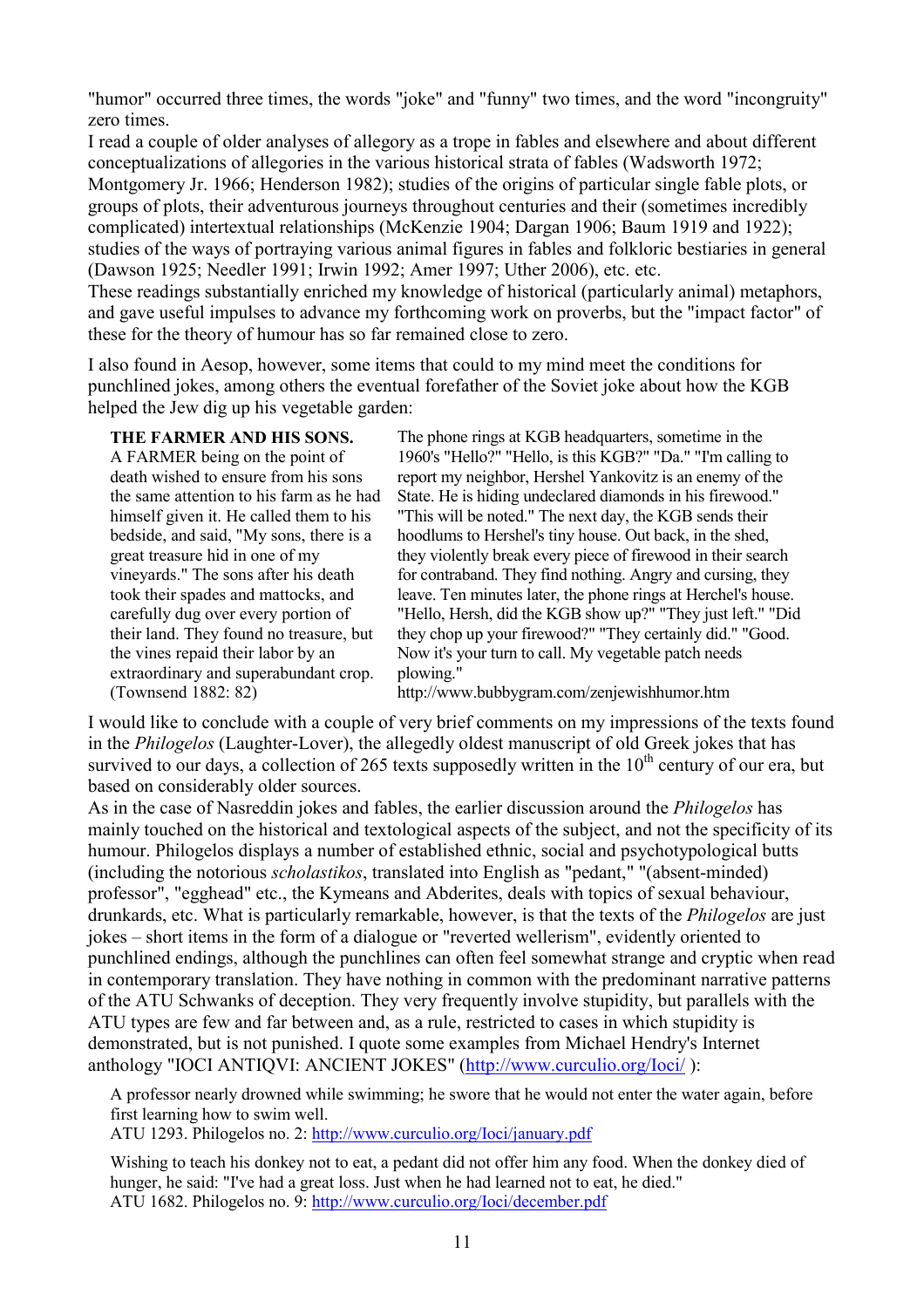"humor" occurred three times, the words "joke" and "funny" two times, and the word "incongruity" zero times.

I read a couple of older analyses of allegory as a trope in fables and elsewhere and about different conceptualizations of allegories in the various historical strata of fables (Wadsworth 1972; Montgomery Jr. 1966; Henderson 1982); studies of the origins of particular single fable plots, or groups of plots, their adventurous journeys throughout centuries and their (sometimes incredibly complicated) intertextual relationships (McKenzie 1904; Dargan 1906; Baum 1919 and 1922); studies of the ways of portraying various animal figures in fables and folkloric bestiaries in general (Dawson 1925; Needler 1991; Irwin 1992; Amer 1997; Uther 2006), etc. etc. These readings substantially enriched my knowledge of historical (particularly animal) metaphors, and gave useful impulses to advance my forthcoming work on proverbs, but the "impact factor" of these for the theory of humour has so far remained close to zero.

I also found in Aesop, however, some items that could to my mind meet the conditions for punchlined jokes, among others the eventual forefather of the Soviet joke about how the KGB helped the Jew dig up his vegetable garden:

#### THE FARMER AND HIS SONS.

A FARMER being on the point of death wished to ensure from his sons the same attention to his farm as he had himself given it. He called them to his bedside, and said, "My sons, there is a great treasure hid in one of my vineyards." The sons after his death took their spades and mattocks, and carefully dug over every portion of their land. They found no treasure, but the vines repaid their labor by an extraordinary and superabundant crop. (Townsend 1882: 82)

The phone rings at KGB headquarters, sometime in the 1960's "Hello?" "Hello, is this KGB?" "Da." "I'm calling to report my neighbor, Hershel Yankovitz is an enemy of the State. He is hiding undeclared diamonds in his firewood." "This will be noted." The next day, the KGB sends their hoodlums to Hershel's tiny house. Out back, in the shed, they violently break every piece of firewood in their search for contraband. They find nothing. Angry and cursing, they leave. Ten minutes later, the phone rings at Herchel's house. "Hello, Hersh, did the KGB show up?" "They just left." "Did they chop up your firewood?" "They certainly did." "Good. Now it's your turn to call. My vegetable patch needs plowing."

http://www.bubbygram.com/zenjewishhumor.htm

I would like to conclude with a couple of very brief comments on my impressions of the texts found in the Philogelos (Laughter-Lover), the allegedly oldest manuscript of old Greek jokes that has survived to our days, a collection of 265 texts supposedly written in the  $10<sup>th</sup>$  century of our era, but based on considerably older sources.

As in the case of Nasreddin jokes and fables, the earlier discussion around the *Philogelos* has mainly touched on the historical and textological aspects of the subject, and not the specificity of its humour. Philogelos displays a number of established ethnic, social and psychotypological butts (including the notorious scholastikos, translated into English as "pedant," "(absent-minded) professor", "egghead" etc., the Kymeans and Abderites, deals with topics of sexual behaviour, drunkards, etc. What is particularly remarkable, however, is that the texts of the Philogelos are just jokes – short items in the form of a dialogue or "reverted wellerism", evidently oriented to punchlined endings, although the punchlines can often feel somewhat strange and cryptic when read in contemporary translation. They have nothing in common with the predominant narrative patterns of the ATU Schwanks of deception. They very frequently involve stupidity, but parallels with the ATU types are few and far between and, as a rule, restricted to cases in which stupidity is demonstrated, but is not punished. I quote some examples from Michael Hendry's Internet anthology "IOCI ANTIQVI: ANCIENT JOKES" (http://www.curculio.org/Ioci/ ):

A professor nearly drowned while swimming; he swore that he would not enter the water again, before first learning how to swim well.

ATU 1293. Philogelos no. 2: http://www.curculio.org/Ioci/january.pdf

Wishing to teach his donkey not to eat, a pedant did not offer him any food. When the donkey died of hunger, he said: "I've had a great loss. Just when he had learned not to eat, he died." ATU 1682. Philogelos no. 9: http://www.curculio.org/Ioci/december.pdf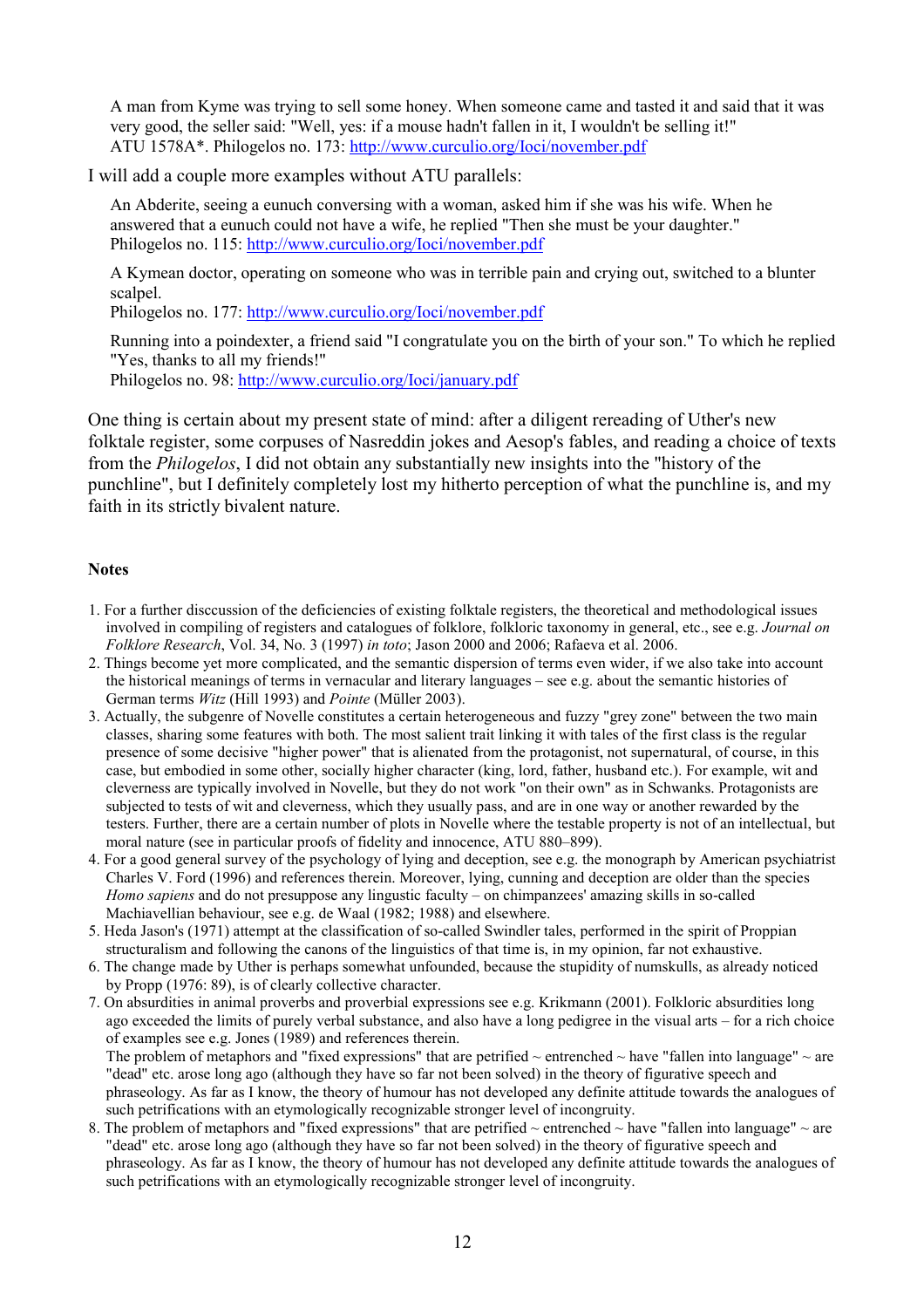A man from Kyme was trying to sell some honey. When someone came and tasted it and said that it was very good, the seller said: "Well, yes: if a mouse hadn't fallen in it, I wouldn't be selling it!" ATU 1578A\*. Philogelos no. 173: http://www.curculio.org/Ioci/november.pdf

I will add a couple more examples without ATU parallels:

An Abderite, seeing a eunuch conversing with a woman, asked him if she was his wife. When he answered that a eunuch could not have a wife, he replied "Then she must be your daughter." Philogelos no. 115: http://www.curculio.org/Ioci/november.pdf

A Kymean doctor, operating on someone who was in terrible pain and crying out, switched to a blunter scalpel.

Philogelos no. 177: http://www.curculio.org/Ioci/november.pdf

Running into a poindexter, a friend said "I congratulate you on the birth of your son." To which he replied "Yes, thanks to all my friends!"

Philogelos no. 98: http://www.curculio.org/Ioci/january.pdf

One thing is certain about my present state of mind: after a diligent rereading of Uther's new folktale register, some corpuses of Nasreddin jokes and Aesop's fables, and reading a choice of texts from the Philogelos, I did not obtain any substantially new insights into the "history of the punchline", but I definitely completely lost my hitherto perception of what the punchline is, and my faith in its strictly bivalent nature.

#### **Notes**

- 1. For a further disccussion of the deficiencies of existing folktale registers, the theoretical and methodological issues involved in compiling of registers and catalogues of folklore, folkloric taxonomy in general, etc., see e.g. Journal on Folklore Research, Vol. 34, No. 3 (1997) in toto; Jason 2000 and 2006; Rafaeva et al. 2006.
- 2. Things become yet more complicated, and the semantic dispersion of terms even wider, if we also take into account the historical meanings of terms in vernacular and literary languages – see e.g. about the semantic histories of German terms *Witz* (Hill 1993) and *Pointe* (Müller 2003).
- 3. Actually, the subgenre of Novelle constitutes a certain heterogeneous and fuzzy "grey zone" between the two main classes, sharing some features with both. The most salient trait linking it with tales of the first class is the regular presence of some decisive "higher power" that is alienated from the protagonist, not supernatural, of course, in this case, but embodied in some other, socially higher character (king, lord, father, husband etc.). For example, wit and cleverness are typically involved in Novelle, but they do not work "on their own" as in Schwanks. Protagonists are subjected to tests of wit and cleverness, which they usually pass, and are in one way or another rewarded by the testers. Further, there are a certain number of plots in Novelle where the testable property is not of an intellectual, but moral nature (see in particular proofs of fidelity and innocence, ATU 880–899).
- 4. For a good general survey of the psychology of lying and deception, see e.g. the monograph by American psychiatrist Charles V. Ford (1996) and references therein. Moreover, lying, cunning and deception are older than the species Homo sapiens and do not presuppose any lingustic faculty – on chimpanzees' amazing skills in so-called Machiavellian behaviour, see e.g. de Waal (1982; 1988) and elsewhere.
- 5. Heda Jason's (1971) attempt at the classification of so-called Swindler tales, performed in the spirit of Proppian structuralism and following the canons of the linguistics of that time is, in my opinion, far not exhaustive.
- 6. The change made by Uther is perhaps somewhat unfounded, because the stupidity of numskulls, as already noticed by Propp (1976: 89), is of clearly collective character.
- 7. On absurdities in animal proverbs and proverbial expressions see e.g. Krikmann (2001). Folkloric absurdities long ago exceeded the limits of purely verbal substance, and also have a long pedigree in the visual arts – for a rich choice of examples see e.g. Jones (1989) and references therein. The problem of metaphors and "fixed expressions" that are petrified  $\sim$  entrenched  $\sim$  have "fallen into language"  $\sim$  are

"dead" etc. arose long ago (although they have so far not been solved) in the theory of figurative speech and phraseology. As far as I know, the theory of humour has not developed any definite attitude towards the analogues of such petrifications with an etymologically recognizable stronger level of incongruity.

8. The problem of metaphors and "fixed expressions" that are petrified  $\sim$  entrenched  $\sim$  have "fallen into language"  $\sim$  are "dead" etc. arose long ago (although they have so far not been solved) in the theory of figurative speech and phraseology. As far as I know, the theory of humour has not developed any definite attitude towards the analogues of such petrifications with an etymologically recognizable stronger level of incongruity.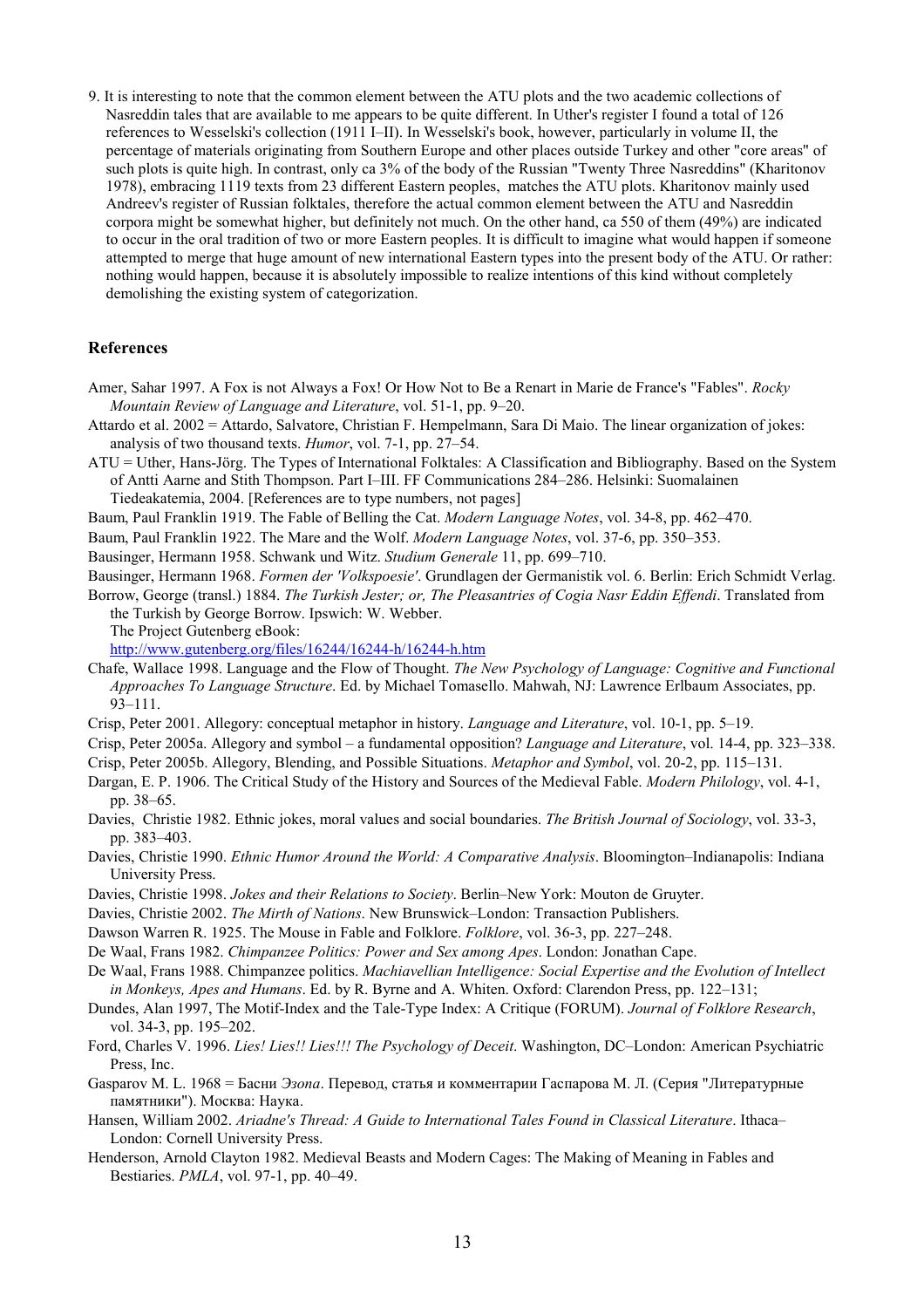9. It is interesting to note that the common element between the ATU plots and the two academic collections of Nasreddin tales that are available to me appears to be quite different. In Uther's register I found a total of 126 references to Wesselski's collection (1911 I–II). In Wesselski's book, however, particularly in volume II, the percentage of materials originating from Southern Europe and other places outside Turkey and other "core areas" of such plots is quite high. In contrast, only ca 3% of the body of the Russian "Twenty Three Nasreddins" (Kharitonov 1978), embracing 1119 texts from 23 different Eastern peoples, matches the ATU plots. Kharitonov mainly used Andreev's register of Russian folktales, therefore the actual common element between the ATU and Nasreddin corpora might be somewhat higher, but definitely not much. On the other hand, ca 550 of them (49%) are indicated to occur in the oral tradition of two or more Eastern peoples. It is difficult to imagine what would happen if someone attempted to merge that huge amount of new international Eastern types into the present body of the ATU. Or rather: nothing would happen, because it is absolutely impossible to realize intentions of this kind without completely demolishing the existing system of categorization.

#### References

Amer, Sahar 1997. A Fox is not Always a Fox! Or How Not to Be a Renart in Marie de France's "Fables". Rocky Mountain Review of Language and Literature, vol. 51-1, pp. 9–20.

Attardo et al. 2002 = Attardo, Salvatore, Christian F. Hempelmann, Sara Di Maio. The linear organization of jokes: analysis of two thousand texts. Humor, vol. 7-1, pp. 27–54.

ATU = Uther, Hans-Jörg. The Types of International Folktales: A Classification and Bibliography. Based on the System of Antti Aarne and Stith Thompson. Part I–III. FF Communications 284–286. Helsinki: Suomalainen Tiedeakatemia, 2004. [References are to type numbers, not pages]

Baum, Paul Franklin 1919. The Fable of Belling the Cat. Modern Language Notes, vol. 34-8, pp. 462–470.

Baum, Paul Franklin 1922. The Mare and the Wolf. Modern Language Notes, vol. 37-6, pp. 350–353.

Bausinger, Hermann 1958. Schwank und Witz. Studium Generale 11, pp. 699–710.

Bausinger, Hermann 1968. Formen der 'Volkspoesie'. Grundlagen der Germanistik vol. 6. Berlin: Erich Schmidt Verlag.

Borrow, George (transl.) 1884. The Turkish Jester; or, The Pleasantries of Cogia Nasr Eddin Effendi. Translated from the Turkish by George Borrow. Ipswich: W. Webber.

The Project Gutenberg eBook:

http://www.gutenberg.org/files/16244/16244-h/16244-h.htm

- Chafe, Wallace 1998. Language and the Flow of Thought. The New Psychology of Language: Cognitive and Functional Approaches To Language Structure. Ed. by Michael Tomasello. Mahwah, NJ: Lawrence Erlbaum Associates, pp. 93–111.
- Crisp, Peter 2001. Allegory: conceptual metaphor in history. Language and Literature, vol. 10-1, pp. 5–19.

Crisp, Peter 2005a. Allegory and symbol – a fundamental opposition? Language and Literature, vol. 14-4, pp. 323–338.

Crisp, Peter 2005b. Allegory, Blending, and Possible Situations. Metaphor and Symbol, vol. 20-2, pp. 115–131.

- Dargan, E. P. 1906. The Critical Study of the History and Sources of the Medieval Fable. Modern Philology, vol. 4-1, pp. 38–65.
- Davies, Christie 1982. Ethnic jokes, moral values and social boundaries. The British Journal of Sociology, vol. 33-3, pp. 383–403.
- Davies, Christie 1990. Ethnic Humor Around the World: A Comparative Analysis. Bloomington-Indianapolis: Indiana University Press.
- Davies, Christie 1998. Jokes and their Relations to Society. Berlin–New York: Mouton de Gruyter.
- Davies, Christie 2002. The Mirth of Nations. New Brunswick–London: Transaction Publishers.
- Dawson Warren R. 1925. The Mouse in Fable and Folklore. Folklore, vol. 36-3, pp. 227–248.
- De Waal, Frans 1982. Chimpanzee Politics: Power and Sex among Apes. London: Jonathan Cape.

De Waal, Frans 1988. Chimpanzee politics. Machiavellian Intelligence: Social Expertise and the Evolution of Intellect in Monkeys, Apes and Humans. Ed. by R. Byrne and A. Whiten. Oxford: Clarendon Press, pp. 122–131;

- Dundes, Alan 1997, The Motif-Index and the Tale-Type Index: A Critique (FORUM). Journal of Folklore Research, vol. 34-3, pp. 195–202.
- Ford, Charles V. 1996. Lies! Lies!! Lies!!! The Psychology of Deceit. Washington, DC-London: American Psychiatric Press, Inc.
- Gasparov M. L. 1968 = Басни Эзопа. Перевод, статья и комментарии Гаспарова М. Л. (Серия "Литературные памятники"). Москва: Наука.

Hansen, William 2002. Ariadne's Thread: A Guide to International Tales Found in Classical Literature. Ithaca– London: Cornell University Press.

Henderson, Arnold Clayton 1982. Medieval Beasts and Modern Cages: The Making of Meaning in Fables and Bestiaries. PMLA, vol. 97-1, pp. 40–49.